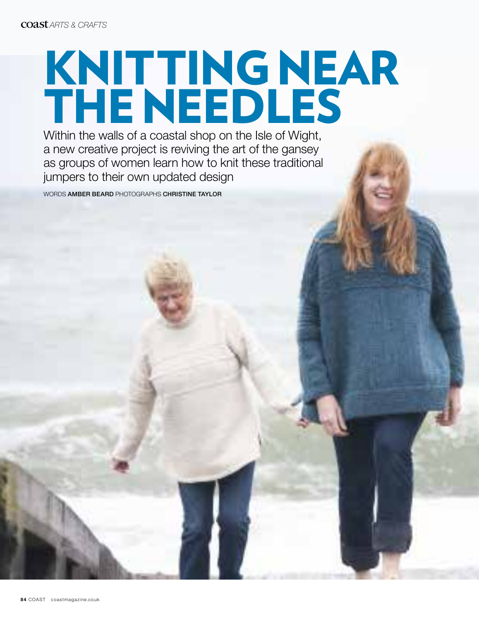# KNITTING NEAR THE NEEDLES

Within the walls of a coastal shop on the Isle of Wight, a new creative project is reviving the art of the gansey as groups of women learn how to knit these traditional jumpers to their own updated design

WORDS AMBER BEARD PHOTOGRAPHS CHRISTINE TAYLOR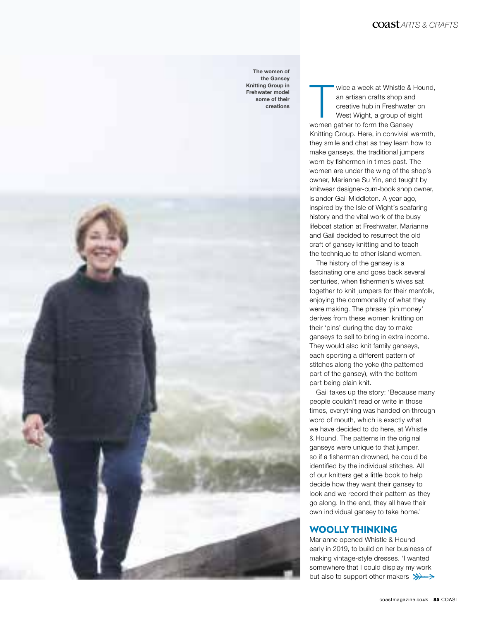

wice a week at Whistle & Hound, an artisan crafts shop and

creative hub in Freshwater on West Wight, a group of eight women gather to form the Gansey Knitting Group. Here, in convivial warmth, they smile and chat as they learn how to make ganseys, the traditional jumpers worn by fishermen in times past. The women are under the wing of the shop's owner, Marianne Su Yin, and taught by knitwear designer-cum-book shop owner, islander Gail Middleton. A year ago, inspired by the Isle of Wight's seafaring history and the vital work of the busy lifeboat station at Freshwater, Marianne and Gail decided to resurrect the old craft of gansey knitting and to teach the technique to other island women.

The history of the gansey is a fascinating one and goes back several centuries, when fishermen's wives sat together to knit jumpers for their menfolk, enjoying the commonality of what they were making. The phrase 'pin money' derives from these women knitting on their 'pins' during the day to make ganseys to sell to bring in extra income. They would also knit family ganseys, each sporting a different pattern of stitches along the yoke (the patterned part of the gansey), with the bottom part being plain knit.

Gail takes up the story: 'Because many people couldn't read or write in those times, everything was handed on through word of mouth, which is exactly what we have decided to do here, at Whistle & Hound. The patterns in the original ganseys were unique to that jumper, so if a fisherman drowned, he could be identified by the individual stitches. All of our knitters get a little book to help decide how they want their gansey to look and we record their pattern as they go along. In the end, they all have their own individual gansey to take home.'

### WOOLLY THINKING

Marianne opened Whistle & Hound early in 2019, to build on her business of making vintage-style dresses. 'I wanted somewhere that I could display my work but also to support other makers  $\gg$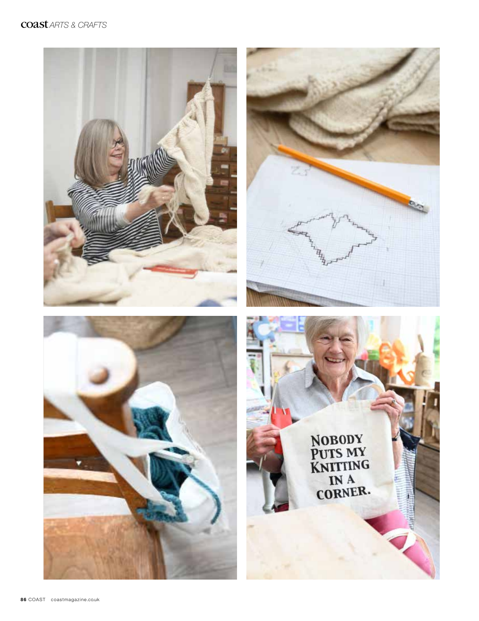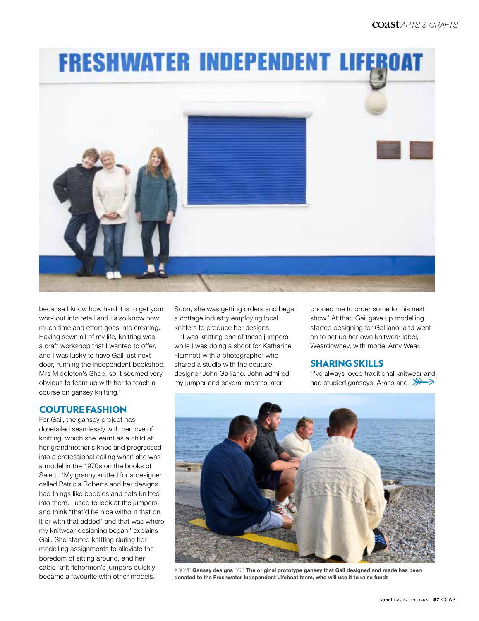

because I know how hard it is to get your work out into retail and I also know how much time and effort goes into creating. Having sewn all of my life, knitting was a craft workshop that I wanted to offer, and I was lucky to have Gail just next door, running the independent bookshop, Mrs Middleton's Shop, so it seemed very obvious to team up with her to teach a course on gansey knitting.'

#### COUTURE FASHION

For Gail, the gansey project has dovetailed seamlessly with her love of knitting, which she learnt as a child at her grandmother's knee and progressed into a professional calling when she was a model in the 1970s on the books of Select. 'My granny knitted for a designer called Patricia Roberts and her designs had things like bobbles and cats knitted into them. I used to look at the jumpers and think "that'd be nice without that on it or with that added" and that was where my knitwear designing began,' explains Gail. She started knitting during her modelling assignments to alleviate the boredom of sitting around, and her cable-knit fishermen's jumpers quickly became a favourite with other models.

Soon, she was getting orders and began a cottage industry employing local knitters to produce her designs.

'I was knitting one of these jumpers while I was doing a shoot for Katharine Hamnett with a photographer who shared a studio with the couture designer John Galliano. John admired my jumper and several months later

phoned me to order some for his next show.' At that, Gail gave up modelling, started designing for Galliano, and went on to set up her own knitwear label, Weardowney, with model Amy Wear.

## SHARING SKILLS

'I've always loved traditional knitwear and had studied ganseys, Arans and >>>>>>



ABOVE Gansey designs TOP The original prototype gansey that Gail designed and made has been donated to the Freshwater Independent Lifeboat team, who will use it to raise funds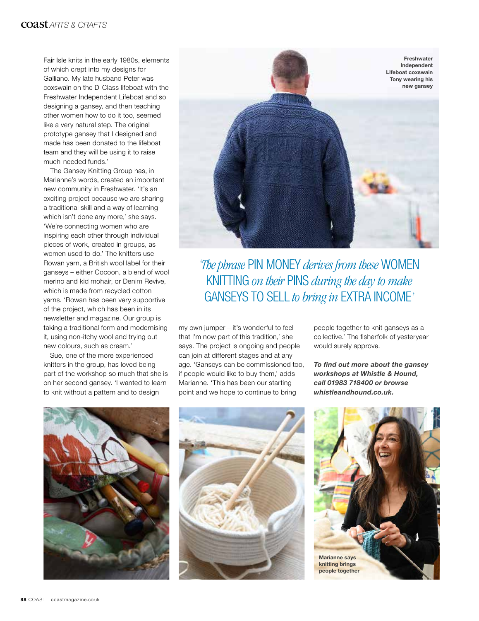Fair Isle knits in the early 1980s, elements of which crept into my designs for Galliano. My late husband Peter was coxswain on the D-Class lifeboat with the Freshwater Independent Lifeboat and so designing a gansey, and then teaching other women how to do it too, seemed like a very natural step. The original prototype gansey that I designed and made has been donated to the lifeboat team and they will be using it to raise much-needed funds.'

The Gansey Knitting Group has, in Marianne's words, created an important new community in Freshwater. 'It's an exciting project because we are sharing a traditional skill and a way of learning which isn't done any more,' she says. 'We're connecting women who are inspiring each other through individual pieces of work, created in groups, as women used to do.' The knitters use Rowan yarn, a British wool label for their ganseys – either Cocoon, a blend of wool merino and kid mohair, or Denim Revive, which is made from recycled cotton yarns. 'Rowan has been very supportive of the project, which has been in its newsletter and magazine. Our group is taking a traditional form and modernising it, using non-itchy wool and trying out new colours, such as cream.'

Sue, one of the more experienced knitters in the group, has loved being part of the workshop so much that she is on her second gansey. 'I wanted to learn to knit without a pattern and to design



*'The phrase* PIN MONEY *derives from these* WOMEN KNITTING *on their* PINS *during the day to make*  GANSEYS TO SELL *to bring in* EXTRA INCOME*'*

my own jumper – it's wonderful to feel that I'm now part of this tradition,' she says. The project is ongoing and people can join at different stages and at any age. 'Ganseys can be commissioned too, if people would like to buy them,' adds Marianne. 'This has been our starting point and we hope to continue to bring

people together to knit ganseys as a collective.' The fisherfolk of yesteryear would surely approve.

*To find out more about the gansey workshops at Whistle & Hound, call 01983 718400 or browse whistleandhound.co.uk.*